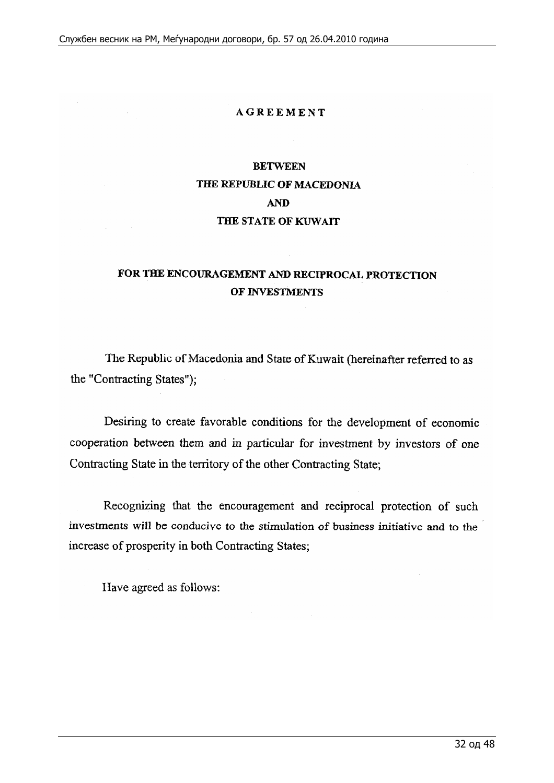#### **AGREEMENT**

## **BETWEEN THE REPUBLIC OF MACEDONIA AND THE STATE OF KUWAIT**

## **FOR THE ENCOURAGEMENT AND RECIPROCAL PROTECTION OF INVESTMENTS**

The Republic of Macedonia and State of Kuwait (hereinafter referred to as the "Contracting States");

Desiring to create favorable conditions for the development of economic cooperation between them and in particular for investment by investors of one Contracting State in the territory of the other Contracting State:

Recognizing that the encouragement and reciprocal protection of such investments will be conducive to the stimulation of business initiative and to the increase of prosperity in both Contracting States;

Have agreed as follows: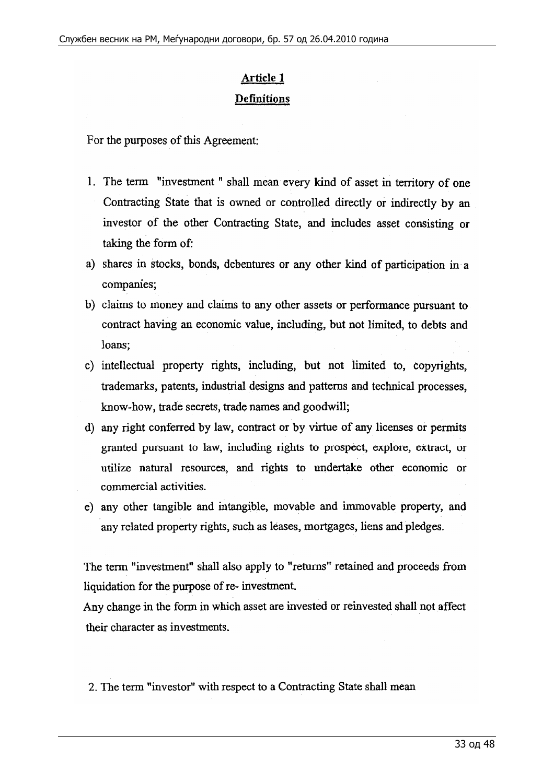## **Article** 1 Definitions

For the purposes of this Agreement:

- 1. The term "investment" shall mean every kind of asset in territory of one Contracting State that is owned or controlled directly or indirectly by an investor of the other Contracting State, and includes asset consisting or taking the form of:
- a) shares in stocks, bonds, debentures or any other kind of participation in a companies;
- b) claims to money and claims to any other assets or performance pursuant to contract having an economic value, including, but not limited, to debts and loans;
- c) intellectual property rights, including, but not limited to, copyrights, trademarks, patents, industrial designs and patterns and technical processes, know-how, trade secrets, trade names and goodwill;
- d) any right conferred by law, contract or by virtue of any licenses or permits granted pursuant to law, including rights to prospect, explore, extract, or utilize natural resources, and rights to undertake other economic or commercial activities.
- e) any other tangible and intangible, movable and immovable property, and any related property rights, such as leases, mortgages, liens and pledges.

The term "investment" shall also apply to "returns" retained and proceeds from liquidation for the purpose of re- investment.

Any change in the form in which asset are invested or reinvested shall not affect their character as investments.

2. The term "investor" with respect to a Contracting State shall mean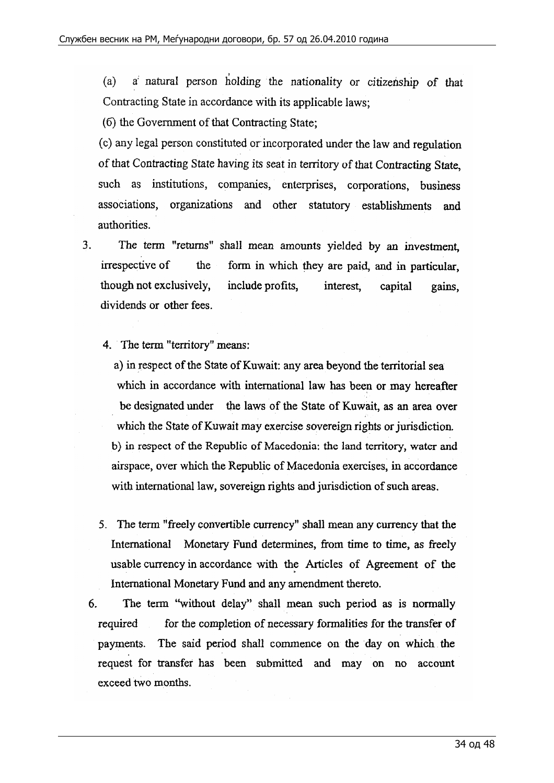(a)  $a'$  natural person holding the nationality or citizenship of that Contracting State in accordance with its applicable laws;

( 6) the Government of that Contracting State;

(c) any legal person constituted or incorporated under the law and regulation of that Contracting State having its seat in territory of that Contracting **State,**  such as institutions, companies, enterprises, corporations, business associations, organizations and other statutory establishments and authorities.

- 3. The term "returns" shall mean amounts yielded by an investment, irrespective of the form in which they are paid, and in particular, though not exclusively, include profits, interest, capital gains, dividends or other fees.
	- 4. The term "territory" means:

a) in respect of the State of Kuwait: any area beyond the territorial sea which in accordance with international law has been or may hereafter be designated under the laws of the State of Kuwait, as an area over which the State of Kuwait may exercise sovereign rights or jurisdiction. b) in respect of the Republic of Macedonia: the land territory, water and airspace, over which the Republic of Macedonia exercises, in accordance with international law, sovereign rights and jurisdiction of such areas.

- 5. The term "freely convertible currency" shall mean any currency that the International Monetary Fund determines, from time to time, as freely usable currency in accordance with the Articles of Agreement of the International Monetary Fund and any amendment thereto.
- 6. The term "without delay" shall mean such period as is normally required for the completion of necessary formalities for the transfer of payments. The said period shall commence on the day on which the request for transfer has been submitted and may on no account exceed two months.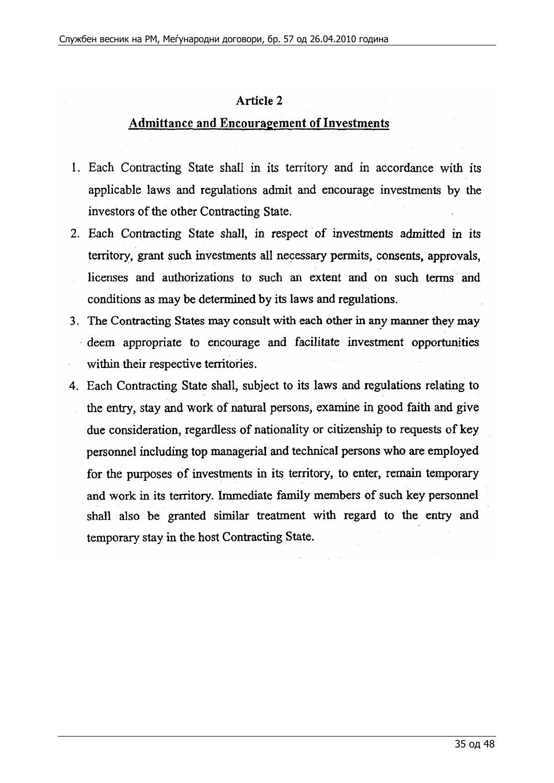#### **Article 2**

## **Admittance and Encouragement of Investments**

- 1. Each Contracting State shall in its territory and in accordance with its applicable laws and regulations admit and encourage investments by the investors of the other Contracting State.
- 2. Each Contracting State shall, in respect of investments admitted in its territory, grant such investments all necessary permits, consents, approvals, licenses and authorizations to such an extent and on such terms and conditions as may be determined by its laws and regulations.
- 3. The Contracting States may consult with each other in any manner they may · deem appropriate to encourage and facilitate investment opportunities within their respective territories.
- 4. Each Contracting State shall, subject to its laws and regulations relating to the entry, stay and work of natural persons, examine in good faith and give due consideration, regardless of nationality or citizenship to requests of key personnel including top managerial and technical persons who are employed. for the purposes of investments in its territory, to enter, remain temporary and work in its territory. Immediate family members of such key personnel shall also be granted similar treatment with regard to the entry and temporary stay in the host Contracting State.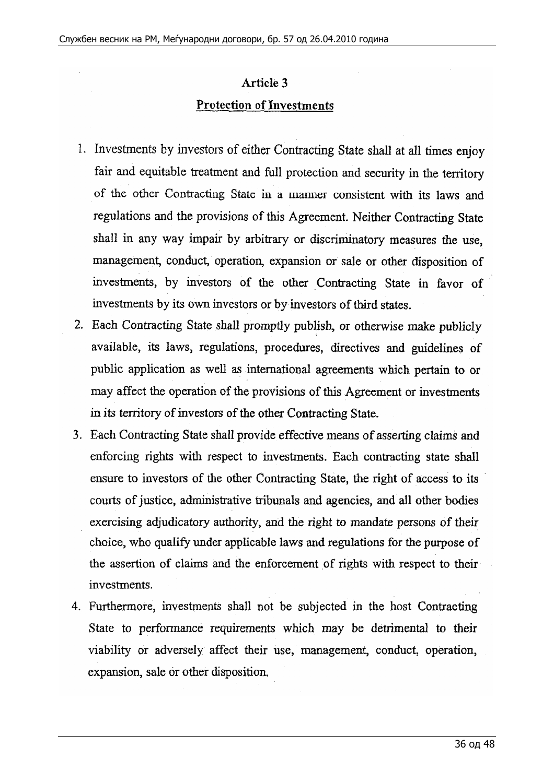# Article 3 Protection of Investments

- 1. Investments by investors of either Contracting State shall at all times enjoy fair and equitable treatment and full protection and security in the territory of the other Contracting State in a manner consistent with its laws and regulations and the provisions of this Agreement. Neither Contracting State shall in any way impair by arbitrary or discriminatory measures the use, management, conduct, operation, expansion or sale or other disposition of investments, by investors of the other Contracting State in favor of investments by its own investors or by investors of third states.
- 2. Each Contracting State shall promptly publish, or otherwise make publicly available, its laws, regulations, procedures, directives and guidelines of public application as well as international agreements which pertain to or may affect the operation of the provisions of this Agreement or investments in its territory of investors of the other Contracting State.
- 3. Each Contracting State shall provide effective means of asserting claims and enforcing rights with respect to investments. Each contracting state shall ensure to investors of the other Contracting State, the right of access to its courts of justice, administrative tribunals and agencies, and all other bodies exercising adjudicatory authority, and the right to mandate persons of their choice, who qualify under applicable laws and regulations for the purpose of the assertion of claims and the enforcement of rights with respect to their investments.
- 4. Furthermore, investments shall not be subjected in the host Contracting State to performance requirements which may be detrimental to their viability or adversely affect their use, management, conduct, operation, expansion, sale or other disposition.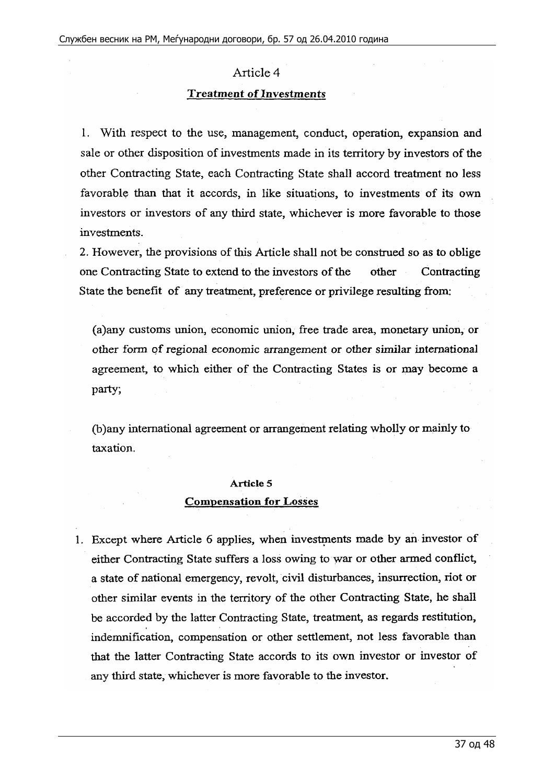#### Article 4

#### **Treatment of Investments**

1. With respect to the use, management, conduct, operation, expansion and sale or other disposition of investments made in its territory by investors of the other Contracting State, each Contracting State shall accord treatment no less favorable than that it accords, in like situations, to investments of its own investors or investors of any third state, whichever is more favorable to those investments.

2. However, the provisions of this Article shall not be construed so as to oblige one Contracting State to extend to the investors of the other Contracting State the benefit of any treatment, preference or privilege resulting from:

(a)any customs union, economic union, free trade area, monetary union, or other form qf regional economic arrangement or other similar international agreement, to which either of the Contracting States is or may become a party;

(b )any international agreement or arrangement relating wholly or mainly to taxation.

## **Article** 5 **Compensation for Losses**

1. Except where Article 6 applies, when investments made by an investor of either Contracting State suffers a loss owing to war or other armed conflict, a state of national emergency, revolt, civil disturbances, insurrection, riot or other similar events in the territory of the other Contracting State, he shall be accorded by the latter Contracting State, treatment, as regards restitution, indemnification, compensation or other settlement, not less favorable than that the latter Contracting State accords to its own investor or investor of any third state, whichever is more favorable to the investor.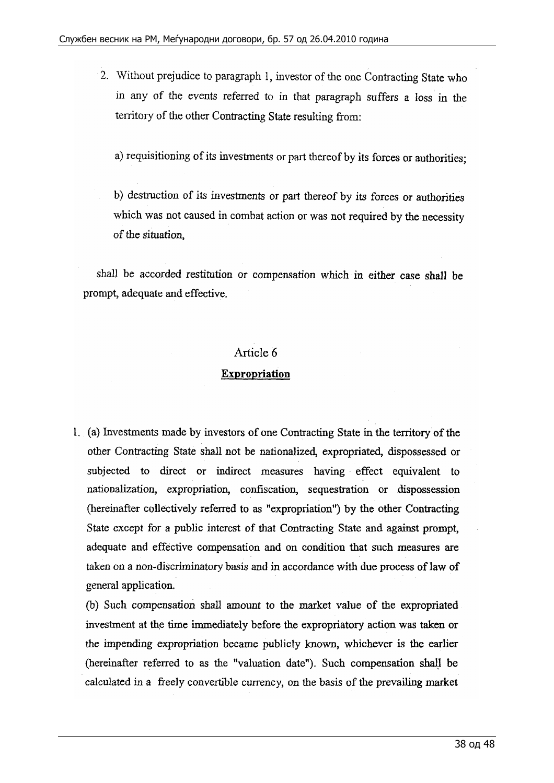2. Without prejudice to paragraph 1, investor of the one Contracting State who in any of the events referred to in that paragraph suffers a loss in the territory of the other Contracting State resulting from:

a) requisitioning of its investments or part thereof by its forces or authorities;

b) destruction of its investments or part thereof by its forces or authorities which was not caused in combat action or was not required by the necessity of the situation,

shall be accorded restitution or compensation which in either case shall be prompt, adequate and effective.

#### Article 6

#### **Expropriation**

1. (a) Investments made by investors of one Contracting State in the territory of the other Contracting State shall not be nationalized, expropriated, dispossessed or subjected to direct or indirect measures having effect equivalent to nationalization, expropriation, confiscation, sequestration or dispossession (hereinafter collectively referred to as "expropriation") by the other Contracting State except for a public interest of that Contracting State and against prompt, adequate and effective compensation and on condition that such measures are taken on a non-discriminatory basis and in accordance with due process of law of general application.

(b) Such compensation shall amount to the market value of the expropriated investment at the time immediately before the expropriatory action was taken or the impending expropriation became publicly known, whichever is the earlier (hereinafter referred to as the "valuation date"). Such compensation shall be calculated in a freely convertible currency, on the basis of the prevailing market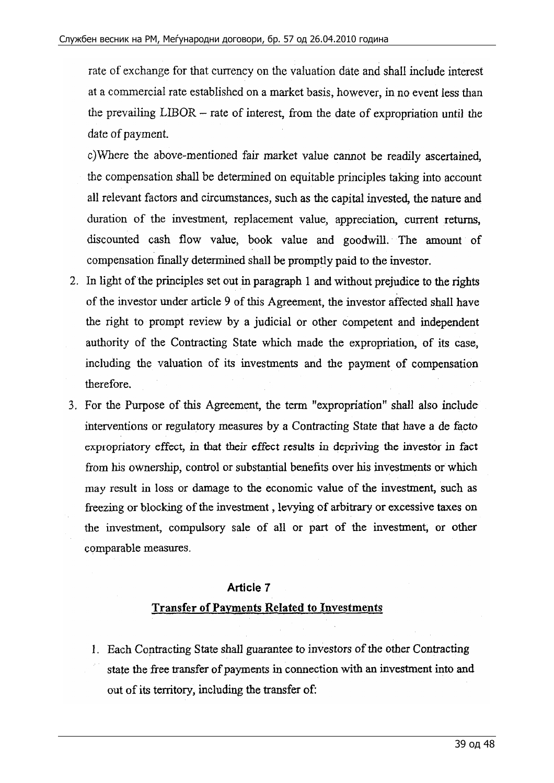rate of exchange for that currency on the valuation date and shall include interest at a commercial rate established on a market basis, however, in no event less than the prevailing LIBOR - rate of interest, from the date of expropriation until the date of payment.

c)\Vhere the above-mentioned fair market value cannot be readily ascertained, the compensation shall be determined on equitable principles taking into account all relevant factors and circumstances, such as the capital invested, the nature and duration of the investment, replacement value, appreciation, current returns, discounted cash flow value, book value and goodwill. The amount of compensation finally detennined shall be promptly paid to the investor.

- 2. In light of the principles set out in paragraph 1 and without prejudice to the rights of the investor under article 9 of this Agreement, the investor affected shall have the right to prompt review by a judicial or other competent and independent authority of the Contracting State which made the expropriation, of its case, including the valuation of its investments and the payment of compensation therefore.
- 3. For the Purpose of this Agreement, the term "expropriation" shall also include interventions or regulatory measures by a Contracting State that have a de facto expropriatory effect, in that their effect results in depriving the investor in fact from his ownership, control or substantial benefits over his investments or which may result in loss or damage to the economic value of the investment, such as freezing or blocking of the investment , levying of arbitrary or excessive taxes on the investment, compulsory sale of all or part of the investment, or other comparable measures.

#### **Article 7**

## **Transfer of Payments Related to Investments**

I. Each Contracting State shall guarantee to investors of the other Contracting state the free transfer of payments in connection with an investment into and out of its territory, including the transfer of: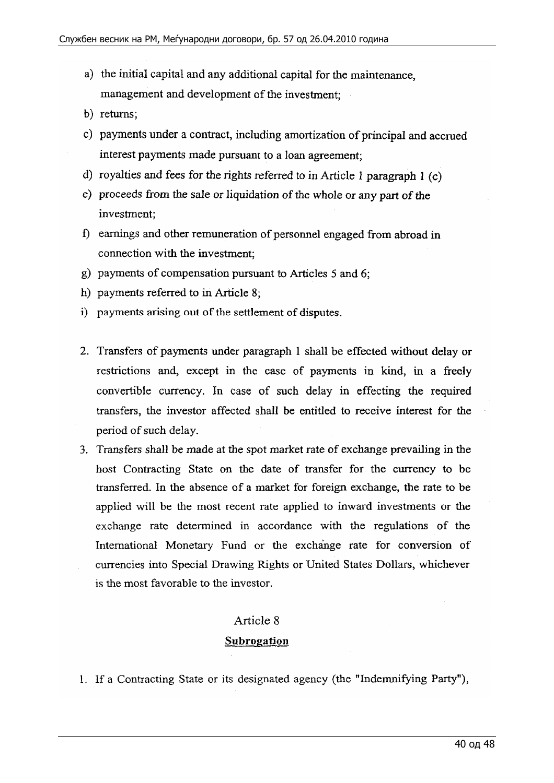- a) the initial capital and any additional capital for the maintenance, management and development of the investment;
- b) returns;
- c) payments under a contract, including amortization of principal and accrued interest payments made pursuant to a loan agreement;
- d) royalties and fees for the rights referred to in Article 1 paragraph 1  $(c)$
- e) proceeds from the sale or liquidation of the whole or any part of the investment;
- f) earnings and other remuneration of personnel engaged from abroad in connection with the investment;
- g) payments of compensation pursuant to Articles 5 and 6;
- h) payments referred to in Article 8;
- i) payments arising out of the settlement of disputes.
- 2. Transfers of payments under paragraph 1 shall be effected without delay or restrictions and, except in the case of payments in kind, in a freely convertible currency. In case of such delay in effecting the required transfers, the investor affected shall be entitled to receive interest for the period of such delay.
- 3. Transfers shall be made at the spot market rate of exchange prevailing in the host Contracting State on the date of transfer for the currency to be transferred. In the absence of a market for foreign exchange, the rate to be applied will be the most recent rate applied to inward investments or the exchange rate determined in accordance with the regulations of the International Monetary Fund or the exchange rate for conversion of currencies into Special Drawing Rights or United States Dollars, whichever is the most favorable to the investor.

#### Article 8

#### **Subrogation**

1. If a Contracting State or its designated agency (the "Indemnifying Party"),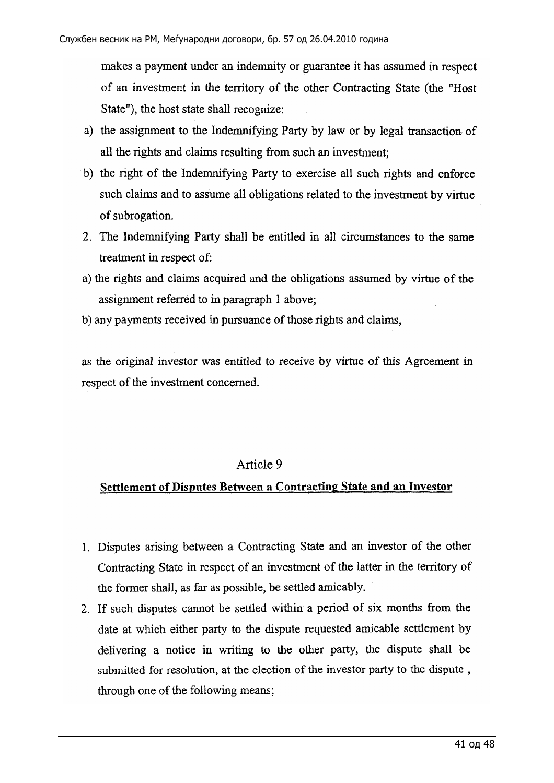makes a payment under an indemnity or guarantee it has assumed in respect of an investment in the territory of the other Contracting State (the "Host State"), the host state shall recognize:

- a) the assignment to the Indemnifying Party by law or by legal transaction of all the rights and claims resulting from such an investment;
- b) the right of the Indemnifying Party to exercise all such rights and enforce such claims and to assume all obligations related to the investment by virtue of subrogation.
- 2. The Indemnifying Party shall be entitled in all circumstances to the same treatment in respect of:
- a) the rights and claims acquired and the obligations assumed by virtue of the assignment referred to in paragraph 1 above;
- b) any payments received in pursuance of those rights and claims,

as the original investor was entitled to receive by virtue of this Agreement in respect of the investment concerned.

## Article 9

## **Settlement of Disputes Between a Contracting State and an Investor**

- 1. Disputes arising between a Contracting State and an investor of the other Contracting State in respect of an investment of the latter in the territory of the former shall, as far as possible, be settled amicably.
- 2. If such disputes cannot be settled within a period of six months from the date at which either party to the dispute requested amicable settlement by delivering a notice in writing to the other party, the dispute shall be submitted for resolution, at the election of the investor party to the dispute , through one of the following means;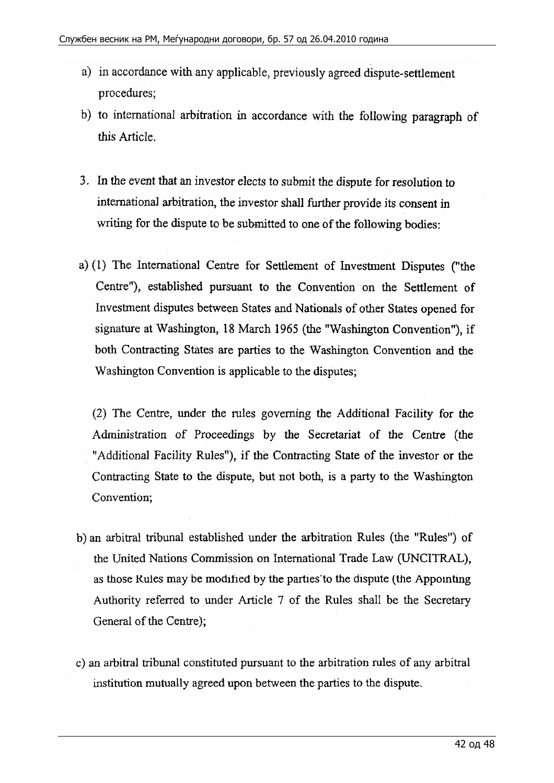- a) in accordance with any applicable, previously agreed dispute-settlement procedures;
- b) to international arbitration in accordance with the following paragraph of this Article.
- 3. In the event that an investor elects to submit the dispute for resolution to international arbitration, the investor shall further provide its consent in writing for the dispute to be submitted to one of the following bodies:
- a) (I) The International Centre for Settlement of Investment Disputes ("the Centre"), established pursuant to the Convention on the Settlement of Investment disputes between States and Nationals of other States opened for signature at Washington, 18 March 1965 (the "Washington Convention"), if both Contracting States are parties to the Washington Convention and the Washington Convention is applicable to the disputes;

(2) The Centre, under the rules governing the Additional Facility for the Administration of Proceedings by the Secretariat of the Centre (the "Additional Facility Rules"), if the Contracting State of the investor or the Contracting State to the dispute, but not both, is a party to the Washington Convention;

- b) an arbitral tribunal established under the arbitration Rules ( the "Rules") of the United Nations Commission on International Trade Law (UNCITRAL ), as those Rules may be modified by the parties·to the dispute (the Appointing Authority referred to under Article 7 of the Rules shall be the Secretary General of the Centre);
- c) an arbitra1 tribunal constituted pursuant to the arbitration rules of any arbitral institution mutually agreed upon between the parties to the dispute.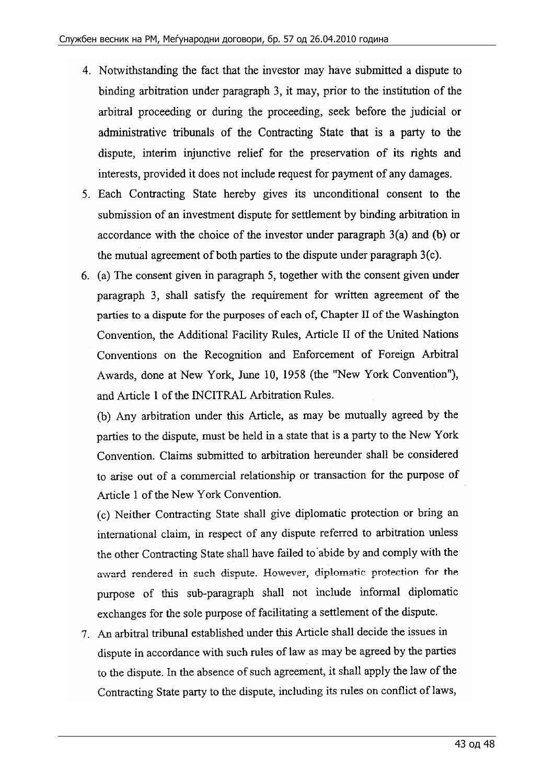- 4. Notwithstanding the fact that the investor may have submitted a dispute to binding arbitration under paragraph 3, it may, prior to the institution of the arbitral proceeding or during the proceeding, seek before the judicial or administrative tribunals of the Contracting State that is a party to the dispute, interim injunctive relief for the preservation of its rights and interests, provided it does not include request for payment of any damages.
- 5. Each Contracting State hereby gives its unconditional consent to the submission of an investment dispute for settlement by binding arbitration in accordance with the choice of the investor under paragraph  $3(a)$  and (b) or the mutual agreement of both parties to the dispute under paragraph 3(c).
- 6. (a) The consent given in paragraph 5, together with the consent given under paragraph 3, shall satisfy the requirement for written agreement of the parties to a dispute for the purposes of each of, Chapter II of the Washington Convention, the Additional Facility Rules, Article II of the United Nations Conventions on the Recognition and Enforcement of Foreign Arbitral Awards, done at New York, June 10, 1958 (the "New York Convention"), and Article 1 of the INCITRAL Arbitration Rules.

(b) Any arbitration under this Article, as may be mutually agreed by the parties to the dispute, must be held in a state that is a party to the New York Convention. Claims submitted to arbitration hereunder shall be considered to arise out of a commercial relationship or transaction for the purpose of Article 1 of the New York Convention.

(c) Neither Contracting State shall give diplomatic protection or bring an international claim, in respect of any dispute referred to arbitration unless the other Contracting State shall have failed to'abide by and comply with the award rendered in such dispute. However, diplomatic protection for the purpose of this sub-paragraph shall not include informal diplomatic exchanges for the sole purpose of facilitating a settlement of the dispute.

7. An arbitral tribunal established under this Article shall decide the issues in dispute in accordance with such rules of law as may be agreed by the parties to the dispute. In the absence of such agreement, it shall apply the law of the Contracting State party to the dispute, including its rules on conflict of laws,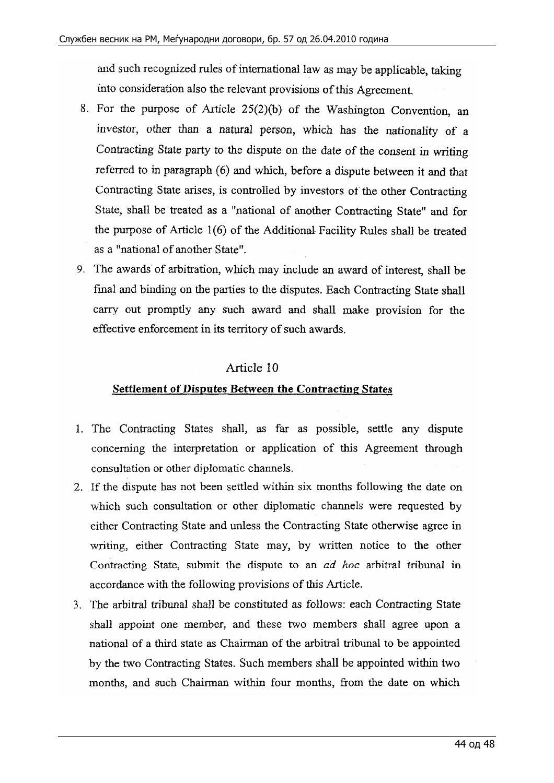and such recognized rules of international law as may be applicable, taking into consideration also the relevant provisions of this Agreement.

- 8. For the purpose of Article 25(2)(b) of the Washington Convention, an investor, other than a natural person, which has the nationality of a Contracting State party to the dispute on the date of the consent in writing referred to in paragraph (6) and which, before a dispute between it and that Contracting State arises, is controlled by investors of the other Contracting State, shall be treated as a "national of another Contracting State" and for the purpose of Article 1(6) of the Additional- Facility Rules shall be treated as a "national of another State".
- 9. The awards of arbitration, which may include an award of interest, shall be final and binding on the parties to the disputes. Each Contracting State shall carry out promptly any such award and shall make provision for the effective enforcement in its territory of such awards.

## Article 10

## **Settlement of Disputes Between the Contracting States**

- 1. The Contracting States shall, as far as possible, settle any dispute concerning the interpretation or application of this Agreement through consultation or other diplomatic channels.
- 2. If the dispute has not been settled within six months following the date on which such consultation or other diplomatic channels were requested by either Contracting State and unless the Contracting State otherwise agree in writing, either Contracting State may, by written notice to the other Contracting State, submit the dispute to an *ad hoc* arbitral tribunal in accordance with the following provisions of this Article.
- 3. The arbitral tribunal shall be constituted as follows: each Contracting State shall appoint one member, and these two members shall agree upon a national of a third state as Chairman of the arbitral tribunal to be appointed by the two Contracting States. Such members shall be appointed within two months, and such Chairman within four months, from the date on which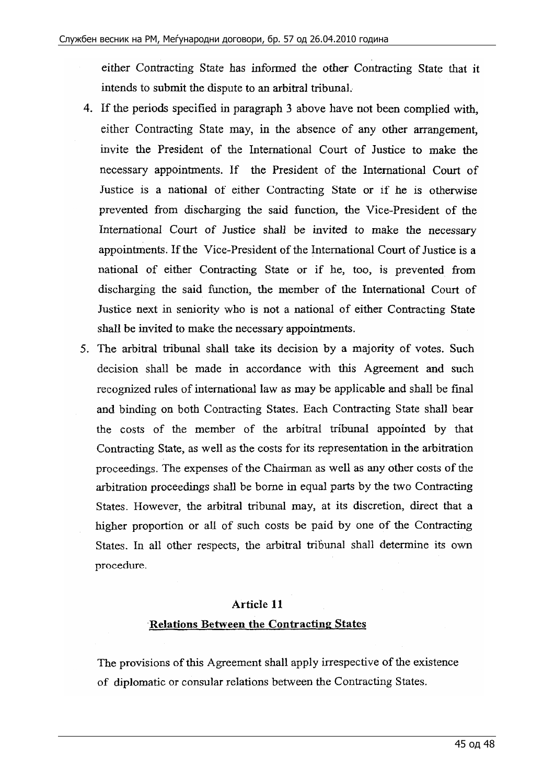either Contracting State has informed the other Contracting State that it intends to submit the dispute to an arbitral tribunal.

- 4. If the periods specified in paragraph 3 above have not been complied with, either Contracting State may, in the absence of any other arrangement, invite the President of the International Court of Justice to make the necessary appointments. If the President of the International Court of Justice is a national of either Contracting State or if he is otherwise prevented from discharging the said function, the Vice-President of the International Court of Justice shall be invited to make the necessary appointments. If the Vice-President of the International Court of Justice is a national of either Contracting State or if he, too, is prevented from discharging the said function, the member of the International Court of Justice next in seniority who is not a national of either Contracting State shall be invited to make the necessary appointments.
- 5. The arbitral tribunal shall take its decision by a majority of votes. Such decision shall be made in accordance with this Agreement and such recognized rules of international law as may be applicable and shall be final and binding on both Contracting States. Each Contracting State shall bear the costs of the member of the arbitral tribunal appointed by that Contracting State, as well as the costs for its representation in the arbitration proceedings. The expenses of the Chairman as well as any other costs of the arbitration proceedings shall be borne in equal parts by the two Contracting States. However, the arbitral tribunal may, at its discretion, direct that a higher proportion or all of such costs be paid by one of the Contracting States. In all other respects, the arbitral tribunal shall determine its own procedure.

#### **Article 11**

#### **·Relations Between the Contracting States**

The provisions of this Agreement shall apply irrespective of the existence of diplomatic or consular relations between the Contracting States.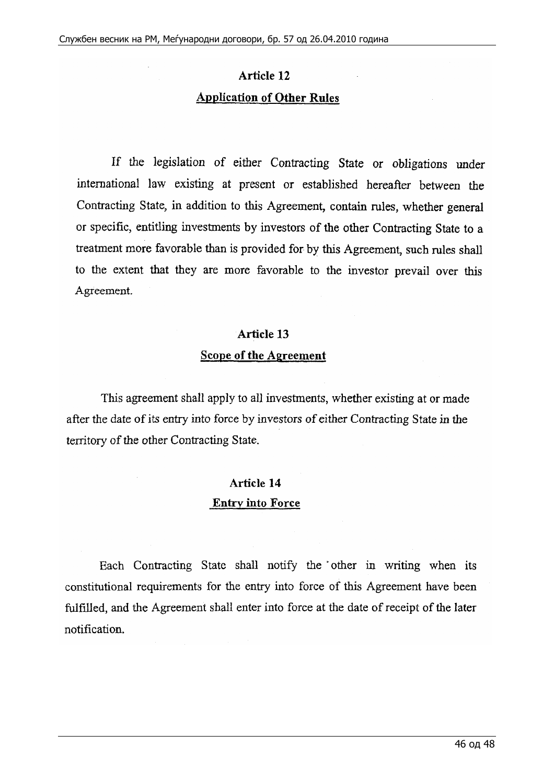# **Article 12 Application of Other Rules**

If the legislation of either Contracting State or obligations under international law existing at present or established hereafter between the Contracting State, in addition to this Agreement, contain rules, whether general or specific, entitling investments by investors of the other Contracting State to a treatment more favorable than is provided for by this Agreement, such rules shall to the extent that they are more favorable to the investor prevail over this Agreement.

#### Article 13

#### **Scope of the Agreement**

This agreement shall apply to all investments, whether existing at or made after the date of its entry into force by investors of either Contracting State in the territory of the other Contracting State.

## **Article 14 Entry into Force**

Each Contracting State shall notify the other in writing when its constitutional requirements for the entry into force of this Agreement have been fulfilled, and the Agreement shall enter into force at the date of receipt of the later notification.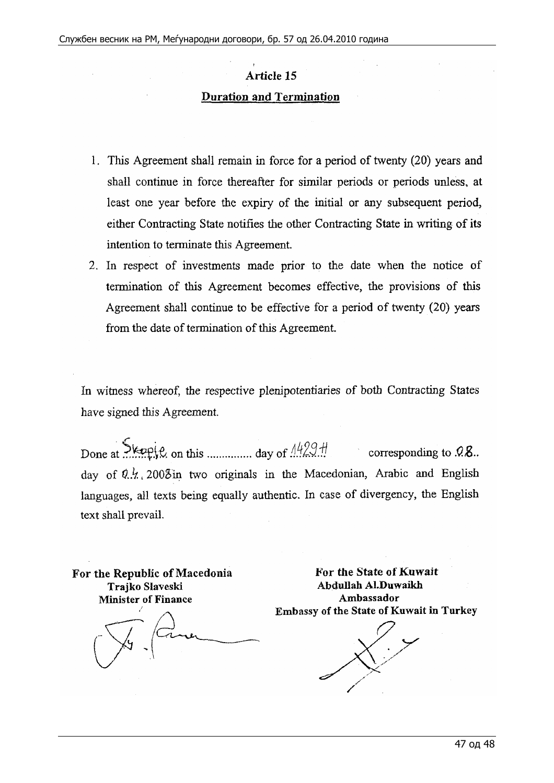## Article 15 **Duration and Termination**

- I . This Agreement shall remain in force for a period of twenty (20) years and shall continue in force thereafter for similar periods or periods unless, at least one year before the expiry of the initial or any subsequent period, either Contracting State notifies the other Contracting State in writing of its intention to terminate this Agreement.
- 2. In respect of investments made prior to the date when the notice of termination of this Agreement becomes effective, the provisions of this Agreement shall continue to be effective for a period of twenty (20) years from the date of termination of this Agreement.

In witness whereof, the respective plenipotentiaries of both Contracting States have signed this Agreement.

Done at  $\frac{\text{Step}(2, \text{ on this} \dots \text{ and } \text{day of } \frac{1499 \text{ H}}{1499 \text{ H}}\}$  corresponding to .0.8. day of  $9 \frac{1}{2}$ , 2003in two originals in the Macedonian, Arabic and English languages, all texts being equally authentic. In case of divergency, the English text shall prevail.

**For the Republic of Macedonia Trajko Slaveski Minister of Finance** 

11

**For the State of Kuwait Abclullah Al.Duwaikh Ambassador Embassy of the State of Kuwait in Turkey**